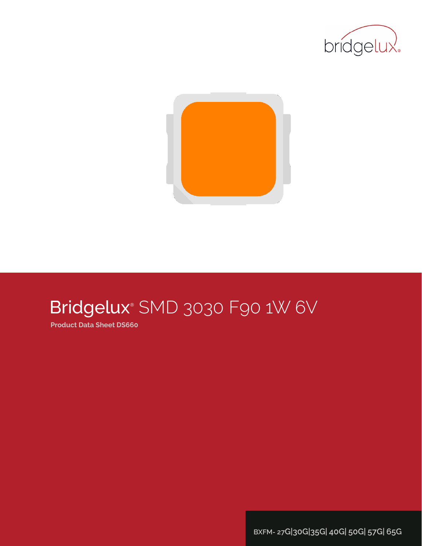



# Bridgelux® SMD 3030 F90 1W 6V

**Product Data Sheet DS660**

**BXFM- 27G|30G|35G| 40G| 50G| 57G| 65G**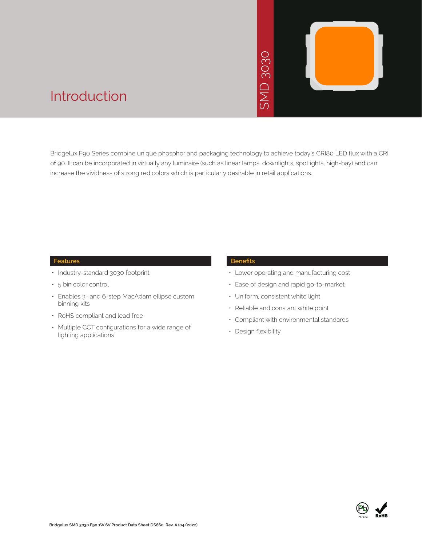# 3030  $\overline{\bigcap}$ **JNS**



### Introduction

Bridgelux F90 Series combine unique phosphor and packaging technology to achieve today's CRI80 LED flux with a CRI of 90. It can be incorporated in virtually any luminaire (such as linear lamps, downlights, spotlights, high-bay) and can increase the vividness of strong red colors which is particularly desirable in retail applications. • Contract the chinology to achieved and the star and the star of desirable in retail as<br>
• Ease of design a<br>
• Contract of design a<br>
• Compliant with e<br>
• Compliant with e<br>
• Design flexibility

#### **Features**

- Industry-standard 3030 footprint
- 5 bin color control
- Enables 3- and 6-step MacAdam ellipse custom binning kits
- RoHS compliant and lead free
- Multiple CCT configurations for a wide range of lighting applications

#### **Benefits**

- Lower operating and manufacturing cost
- Ease of design and rapid go-to-market
- Uniform, consistent white light
- Reliable and constant white point
- Compliant with environmental standards
- · Design flexibility

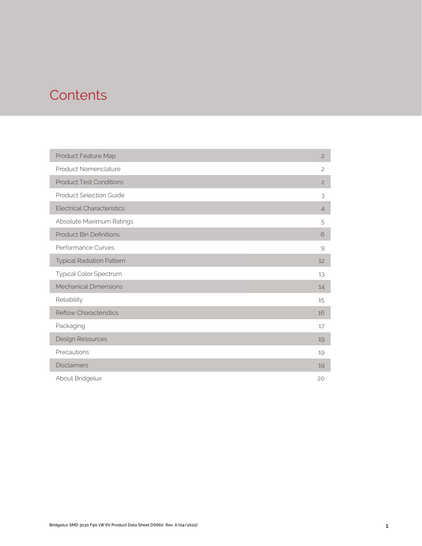### **Contents**

| Product Feature Map               | $\overline{c}$ |
|-----------------------------------|----------------|
| Product Nomenclature              | $\overline{c}$ |
| <b>Product Test Conditions</b>    | $\overline{c}$ |
| <b>Product Selection Guide</b>    | 3              |
| <b>Electrical Characteristics</b> | $\overline{4}$ |
| Absolute Maximum Ratings          | 5              |
| <b>Product Bin Definitions</b>    | 6              |
| Performance Curves                | 9              |
| <b>Typical Radiation Pattern</b>  | 12             |
| Typical Color Spectrum            | 13             |
| <b>Mechanical Dimensions</b>      | 14             |
| Reliability                       | 15             |
| <b>Reflow Characteristics</b>     | 16             |
| Packaging                         | 17             |
| Design Resources                  | 19             |
| Precautions                       | 19             |
| <b>Disclaimers</b>                | 19             |
| About Bridgelux                   | 20             |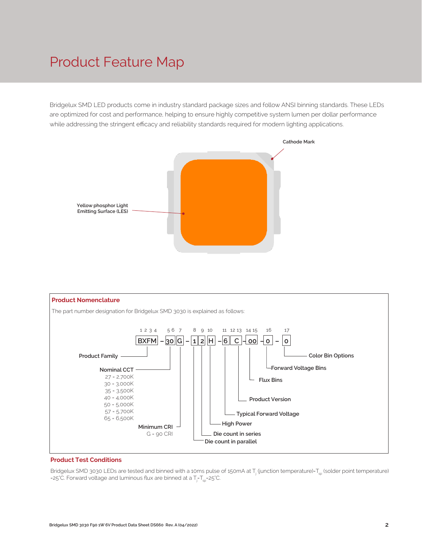### Product Feature Map

Bridgelux SMD LED products come in industry standard package sizes and follow ANSI binning standards. These LEDs are optimized for cost and performance, helping to ensure highly competitive system lumen per dollar performance while addressing the stringent efficacy and reliability standards required for modern lighting applications.





#### **Product Test Conditions**

Bridgelux SMD 3030 LEDs are tested and binned with a 10ms pulse of 150mA at T<sub>j</sub> (junction temperature)=T<sub>sp</sub> (solder point temperature) =25°C. Forward voltage and luminous flux are binned at a  $\mathsf{T}_{\mathsf{j}}\mathsf{-}\mathsf{T}_{\mathsf{sp}}\mathsf{=}$ 25°C.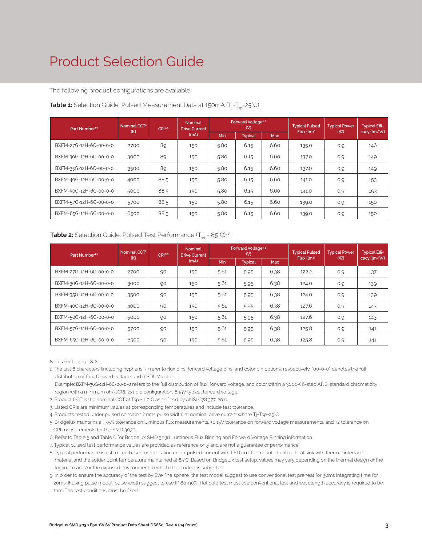### Product Selection Guide

The following product configurations are available:

| Part Number <sup>1,6</sup> | Nominal CCT <sup>2</sup><br>CRI3.5<br>(K) |      | <b>Nominal</b><br><b>Drive Current</b> | Forward Voltage <sup>4.5</sup><br>(V) |                |            | <b>Typical Pulsed</b><br>Flux (lm) <sup>5</sup> | <b>Typical Power</b> | <b>Typical Effi-</b> |
|----------------------------|-------------------------------------------|------|----------------------------------------|---------------------------------------|----------------|------------|-------------------------------------------------|----------------------|----------------------|
|                            |                                           |      | (mA)                                   | Min                                   | <b>Typical</b> | <b>Max</b> |                                                 | (W)                  | cacy (lm/W)          |
| BXFM-27G-12H-6C-00-0-0     | 2700                                      | 89   | 150                                    | 5.80                                  | 6.15           | 6.60       | 135.0                                           | 0.9                  | 146                  |
| BXFM-30G-12H-6C-00-0-0     | 3000                                      | 89   | 150                                    | 5.80                                  | 6.15           | 6.60       | 137.0                                           | 0.9                  | 149                  |
| BXFM-35G-12H-6C-00-0-0     | 3500                                      | 89   | 150                                    | 5.80                                  | 6.15           | 6.60       | 137.0                                           | 0.9                  | 149                  |
| BXFM-40G-12H-6C-00-0-0     | 4000                                      | 88.5 | 150                                    | 5.80                                  | 6.15           | 6.60       | 141.0                                           | 0.9                  | 153                  |
| BXFM-50G-12H-6C-00-0-0     | 5000                                      | 88.5 | 150                                    | 5.80                                  | 6.15           | 6.60       | 141.0                                           | 0.9                  | 153                  |
| BXFM-57G-12H-6C-00-0-0     | 5700                                      | 88.5 | 150                                    | 5.80                                  | 6.15           | 6.60       | 139.0                                           | 0.9                  | 150                  |
| BXFM-65G-12H-6C-00-0-0     | 6500                                      | 88.5 | 150                                    | 5.80                                  | 6.15           | 6.60       | 139.0                                           | 0.9                  | 150                  |

#### **Table 1:** Selection Guide, Pulsed Measurement Data at 150mA (T<sub>j</sub>=T<sub>sp</sub>=25°C)

#### **Table 2:** Selection Guide, Pulsed Test Performance  $(T_{sn} = 85^{\circ}C)^{7,8}$

| Nominal CCT <sup>2</sup><br>Part Number <sup>1,6</sup><br>(K) |      | CR <sup>3.5</sup> | <b>Nominal</b><br><b>Drive Current</b> |      | <b>Forward Voltage4.5</b><br>(V) |            |                        | <b>Typical Power</b><br>(W) | <b>Typical Effi-</b> |
|---------------------------------------------------------------|------|-------------------|----------------------------------------|------|----------------------------------|------------|------------------------|-----------------------------|----------------------|
|                                                               |      |                   | (mA)                                   | Min  | <b>Typical</b>                   | <b>Max</b> | Flux (lm) <sup>5</sup> |                             | cacy (lm/W)          |
| BXFM-27G-12H-6C-00-0-0                                        | 2700 | 90                | 150                                    | 5.61 | 5.95                             | 6.38       | 122.2                  | 0.9                         | 137                  |
| BXFM-30G-12H-6C-00-0-0                                        | 3000 | 90                | 150                                    | 5.61 | 5.95                             | 6.38       | 124.0                  | O.9                         | 139                  |
| BXFM-35G-12H-6C-00-0-0                                        | 3500 | 90                | 150                                    | 5.61 | 5.95                             | 6.38       | 124.0                  | 0.9                         | 139                  |
| BXFM-40G-12H-6C-00-0-0                                        | 4000 | 90                | 150                                    | 5.61 | 5.95                             | 6.38       | 127.6                  | O.9                         | 143                  |
| BXFM-50G-12H-6C-00-0-0                                        | 5000 | 90                | 150                                    | 5.61 | 5.95                             | 6.38       | 127.6                  | 0.9                         | 143                  |
| BXFM-57G-12H-6C-00-0-0                                        | 5700 | 90                | 150                                    | 5.61 | 5.95                             | 6.38       | 125.8                  | 0.9                         | 141                  |
| BXFM-65G-12H-6C-00-0-0                                        | 6500 | 90                | 150                                    | 5.61 | 5.95                             | 6.38       | 125.8                  | O.9                         | 141                  |

Notes for Tables 1 & 2:

1. The last 6 characters (including hyphens '-') refer to flux bins, forward voltage bins, and color bin options, respectively. "00-0-0" denotes the full distribution of flux, forward voltage, and 6 SDCM color.

 Example: BXFM-30G-12H-6C-00-0-0 refers to the full distribution of flux, forward voltage, and color within a 3000K 6-step ANSI standard chromaticity region with a minimum of 90CRI, 2x1 die configuration, 6.15V typical forward voltage.

2. Product CCT is the nominal CCT at Tsp = 60°C as defined by ANSI C78.377-2011.

- 3. Listed CRIs are minimum values at corresponding temperatures and include test tolerance.
- 4. Products tested under pulsed condition (10ms pulse width) at nominal drive current where Tj=Tsp=25°C.

5. Bridgelux maintains a ±7.5% tolerance on luminous flux measurements, ±0.15V tolerance on forward voltage measurements, and ±2 tolerance on CRI measurements for the SMD 3030.

- 6. Refer to Table 5 and Table 6 for Bridgelux SMD 3030 Luminous Flux Binning and Forward Voltage Binning information.
- 7. Typical pulsed test performance values are provided as reference only and are not a guarantee of performance.

8. Typical performance is estimated based on operation under pulsed current with LED emitter mounted onto a heat sink with thermal interface material and the solder point temperature maintained at 85°C. Based on Bridgelux test setup, values may vary depending on the thermal design of the luminaire and/or the exposed environment to which the product is subjected.

9. In order to ensure the accuracy of the test by Everfine sphere the test model suggest to use conventional test preheat for 30ms integrating time for 20ms. If using pulse model, pulse width suggest to use IP 80-90%. Hot cold test must use conventional test and wavelength accuracy is required to be 1nm. The test conditions must be fixed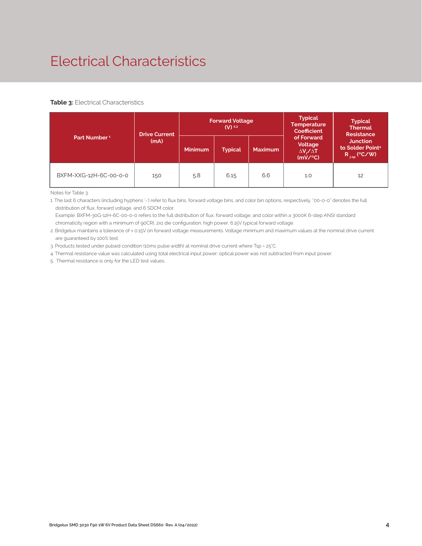### Electrical Characteristics

#### **Table 3: Electrical Characteristics**

|                          | <b>Drive Current</b> |                | <b>Forward Voltage</b><br>$(V)^{2,3}$ |                | <b>Typical</b><br><b>Temperature</b><br><b>Coefficient</b>  | <b>Typical</b><br><b>Thermal</b><br><b>Resistance</b>                |  |
|--------------------------|----------------------|----------------|---------------------------------------|----------------|-------------------------------------------------------------|----------------------------------------------------------------------|--|
| Part Number <sup>1</sup> | (mA)                 | <b>Minimum</b> | <b>Typical</b>                        | <b>Maximum</b> | of Forward<br>Voltage<br>$\Delta V \sim \Delta T$<br>(mV/C) | <b>Junction</b><br>to Solder Point <sup>4</sup><br>$R_{j-sp}$ (°C/W) |  |
| BXFM-XXG-12H-6C-00-0-0   | 150                  | 5.8            | 6.15                                  | 6.6            | 1.0                                                         | 12                                                                   |  |

Notes for Table 3:

1. The last 6 characters (including hyphens '-') refer to flux bins, forward voltage bins, and color bin options, respectively. "00-0-0" denotes the full distribution of flux, forward voltage, and 6 SDCM color.

 Example: BXFM-30G-12H-6C-00-0-0 refers to the full distribution of flux, forward voltage, and color within a 3000K 6-step ANSI standard chromaticity region with a minimum of 90CRI, 2x1 die configuration, high power, 6.15V typical forward voltage.

2. Bridgelux maintains a tolerance of ± 0.15V on forward voltage measurements. Voltage minimum and maximum values at the nominal drive current are guaranteed by 100% test.

3. Products tested under pulsed condition (10ms pulse width) at nominal drive current where Tsp = 25°C.

4. Thermal resistance value was calculated using total electrical input power; optical power was not subtracted from input power.

5. Thermal resistance is only for the LED test values.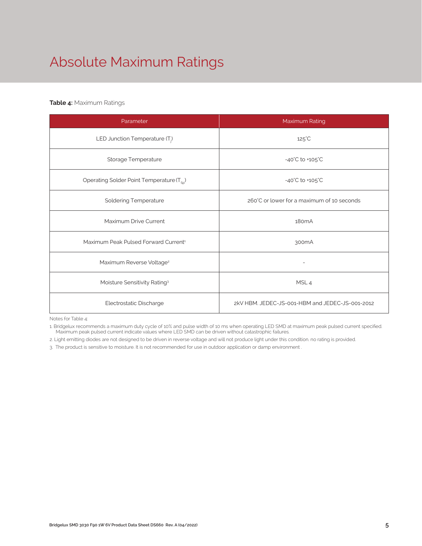## Absolute Maximum Ratings

#### **Table 4:** Maximum Ratings

| Parameter                                             | Maximum Rating                                  |  |  |
|-------------------------------------------------------|-------------------------------------------------|--|--|
| LED Junction Temperature $(T_i)$                      | $125^{\circ}$ C                                 |  |  |
| Storage Temperature                                   | $-40^{\circ}$ C to $+105^{\circ}$ C             |  |  |
| Operating Solder Point Temperature (T <sub>Sp</sub> ) | $-40^{\circ}$ C to $+105^{\circ}$ C             |  |  |
| <b>Soldering Temperature</b>                          | 260°C or lower for a maximum of 10 seconds      |  |  |
| Maximum Drive Current                                 | 180 <sub>m</sub> A                              |  |  |
| Maximum Peak Pulsed Forward Current <sup>1</sup>      | 300 <sub>m</sub> A                              |  |  |
| Maximum Reverse Voltage <sup>2</sup>                  |                                                 |  |  |
| Moisture Sensitivity Rating <sup>3</sup>              | MSL <sub>4</sub>                                |  |  |
| Electrostatic Discharge                               | 2kV HBM. JEDEC-JS-001-HBM and JEDEC-JS-001-2012 |  |  |

Notes for Table 4:

1. Bridgelux recommends a maximum duty cycle of 10% and pulse width of 10 ms when operating LED SMD at maximum peak pulsed current specified. Maximum peak pulsed current indicate values where LED SMD can be driven without catastrophic failures.

2. Light emitting diodes are not designed to be driven in reverse voltage and will not produce light under this condition. no rating is provided.

3. The product is sensitive to moisture. It is not recommended for use in outdoor application or damp environment .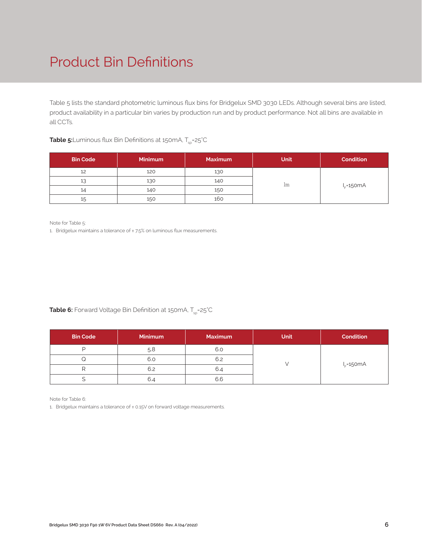### Product Bin Definitions

Table 5 lists the standard photometric luminous flux bins for Bridgelux SMD 3030 LEDs. Although several bins are listed, product availability in a particular bin varies by production run and by product performance. Not all bins are available in all CCTs.

**Table 5:**Luminous flux Bin Definitions at 150mA, T<sub>sp</sub>=25<sup>°</sup>C

| <b>Bin Code</b> | <b>Minimum</b> | <b>Maximum</b> | <b>Unit</b> | <b>Condition</b> |
|-----------------|----------------|----------------|-------------|------------------|
| 12              | 120            | 130            |             |                  |
| 13              | 130            | 140            | 1m          |                  |
| 14              | 140            | 150            |             | $I_{E}$ =150mA   |
| 15              | 150            | 160            |             |                  |

Note for Table 5:

1. Bridgelux maintains a tolerance of  $\pm$  7.5% on luminous flux measurements.

**Table 6:** Forward Voltage Bin Definition at 150mA, T<sub>sp</sub>=25°C

| <b>Bin Code</b> | <b>Minimum</b> | <b>Maximum</b> | <b>Unit</b> | <b>Condition</b> |
|-----------------|----------------|----------------|-------------|------------------|
|                 | 5.8            | 6.0            |             |                  |
|                 | 6.0            | 6.2            |             | $I_F = 150mA$    |
|                 | 6.2            | 6.4            |             |                  |
|                 | 6.4            | 6.6            |             |                  |

Note for Table 6:

1. Bridgelux maintains a tolerance of ± 0.15V on forward voltage measurements.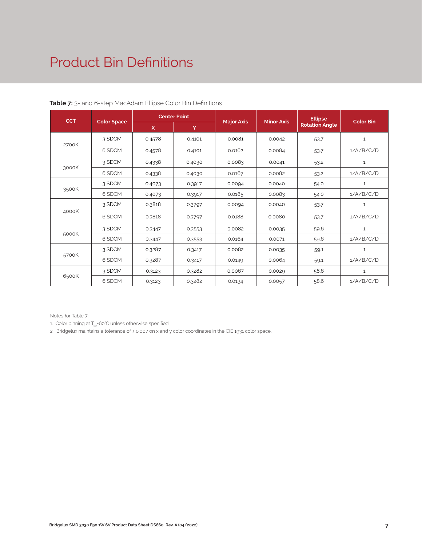### Product Bin Definitions

| <b>CCT</b> |                    | <b>Center Point</b> |        |                   | <b>Minor Axis</b> | <b>Ellipse</b>        |                  |
|------------|--------------------|---------------------|--------|-------------------|-------------------|-----------------------|------------------|
|            | <b>Color Space</b> | X                   | Y      | <b>Major Axis</b> |                   | <b>Rotation Angle</b> | <b>Color Bin</b> |
|            | 3 SDCM             | 0.4578              | 0.4101 | 0.0081            | 0.0042            | 53.7                  | $\mathbf{1}$     |
| 2700K      | 6 SDCM             | 0.4578              | 0.4101 | 0.0162            | 0.0084            | 53.7                  | 1/A/B/C/D        |
|            | 3 SDCM             | 0.4338              | 0.4030 | 0.0083            | 0.0041            | 53.2                  | $\mathbf{1}$     |
| 3000K      | 6 SDCM             | 0.4338              | 0.4030 | 0.0167            | 0.0082            | 53.2                  | 1/A/B/C/D        |
|            | 3 SDCM             | 0.4073              | 0.3917 | 0.0094            | 0.0040            | 54.0                  | 1                |
| 3500K      | 6 SDCM             | 0.4073              | 0.3917 | 0.0185            | 0.0083            | 54.0                  | 1/A/B/C/D        |
|            | 3 SDCM             | 0.3818              | 0.3797 | 0.0094            | 0.0040            | 53.7                  | $\mathbf{1}$     |
| 4000K      | 6 SDCM             | 0.3818              | 0.3797 | 0.0188            | 0.0080            | 53.7                  | 1/A/B/C/D        |
|            | 3 SDCM             | 0.3447              | 0.3553 | 0.0082            | 0.0035            | 59.6                  | $\mathbf{1}$     |
| 5000K      | 6 SDCM             | 0.3447              | 0.3553 | 0.0164            | 0.0071            | 59.6                  | 1/A/B/C/D        |
|            | 3 SDCM             | 0.3287              | 0.3417 | 0.0082            | 0.0035            | 59.1                  | $\mathbf{1}$     |
| 5700K      | 6 SDCM             | 0.3287              | 0.3417 | 0.0149            | 0.0064            | 59.1                  | 1/A/B/C/D        |
|            | 3 SDCM             | 0.3123              | 0.3282 | 0.0067            | 0.0029            | 58.6                  | $\mathbf{1}$     |
| 6500K      | 6 SDCM             | 0.3123              | 0.3282 | 0.0134            | 0.0057            | 58.6                  | 1/A/B/C/D        |

**Table 7:** 3- and 6-step MacAdam Ellipse Color Bin Definitions

Notes for Table 7:

1. Color binning at  $T_{\rm{so}}$ =60°C unless otherwise specified

2. Bridgelux maintains a tolerance of ± 0.007 on x and y color coordinates in the CIE 1931 color space.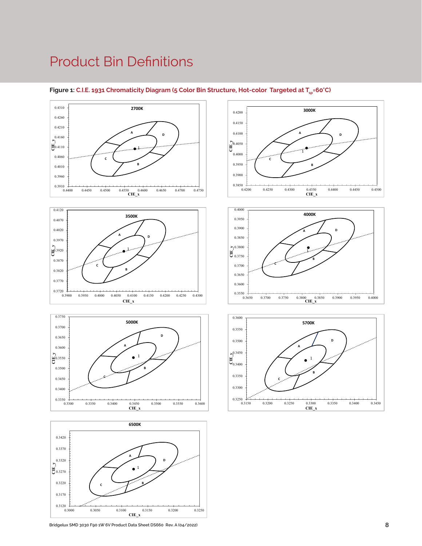### Product Bin Definitions















Figure 1: C.I.E. 1931 Chromaticity Diagram (5 Color Bin Structure, Hot-color Targeted at T<sub>sp</sub>=60°C)

**Bridgelux SMD 3030 F90 1W 6V Product Data Sheet DS660 Rev. A (04/2022)**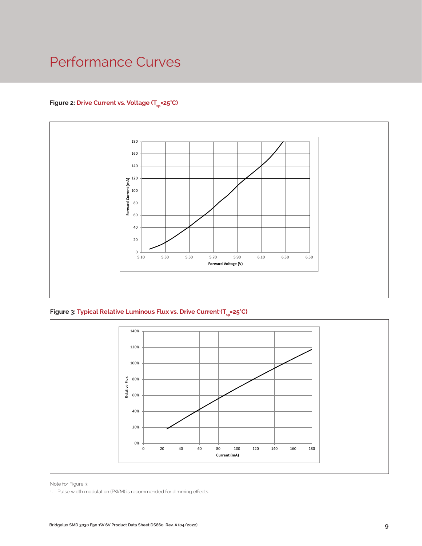### Performance Curves

#### Figure 2: Drive Current vs. Voltage (T<sub>sp</sub>=25°C)



#### **Figure 3: Typical Relative Luminous Flux vs. Drive Current**<sup>1</sup> **(Tsp=25°C)**



Note for Figure 3:

1. Pulse width modulation (PWM) is recommended for dimming effects.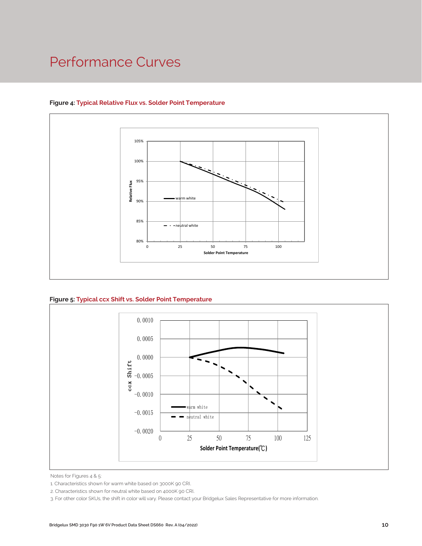### Performance Curves



#### **Figure 4: Typical Relative Flux vs. Solder Point Temperature**

**Figure 5: Typical ccx Shift vs. Solder Point Temperature**



Notes for Figures 4 & 5:

3. For other color SKUs, the shift in color will vary. Please contact your Bridgelux Sales Representative for more information.

<sup>1.</sup> Characteristics shown for warm white based on 3000K 90 CRI.

<sup>2.</sup> Characteristics shown for neutral white based on 4000K 90 CRI.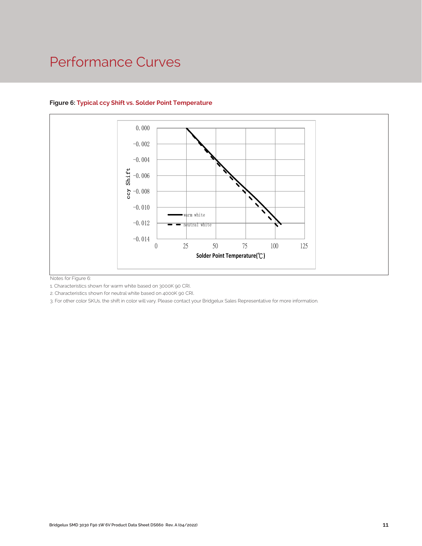### Performance Curves



#### **Figure 6: Typical ccy Shift vs. Solder Point Temperature**

Notes for Figure 6:

1. Characteristics shown for warm white based on 3000K 90 CRI.

2. Characteristics shown for neutral white based on 4000K 90 CRI.

.<br>Pl.<br>your Bridgelux Sales Representative for more information<br>of the Sales Representative for more information<br>of the Sales Representative for more information<br>of the Sales Representative for more information of the Sales 3. For other color SKUs, the shift in color will vary. Please contact your Bridgelux Sales Representative for more information.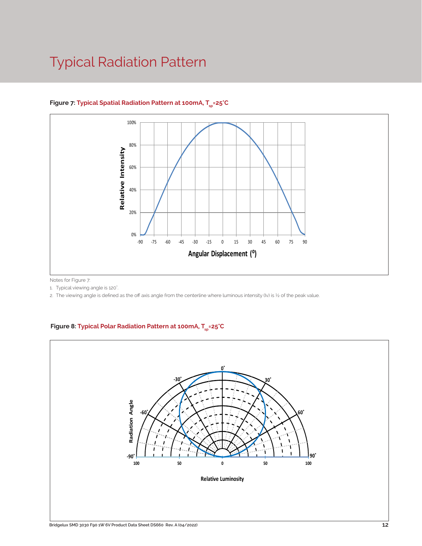### Typical Radiation Pattern



#### Figure 7: Typical Spatial Radiation Pattern at 100mA, T<sub>en</sub>=25°C

Notes for Figure 7:

1. Typical viewing angle is 120°. .

2. The viewing angle is defined as the off axis angle from the centerline where luminous intensity (Iv) is ½ of the peak value.

#### Figure 8: Typical Polar Radiation Pattern at 100mA, T<sub>sp</sub>=25°C

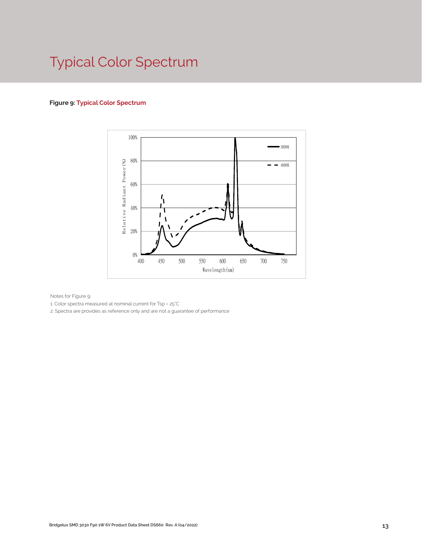# Typical Color Spectrum

#### **Figure 9: Typical Color Spectrum**



Notes for Figure 9:

1. Color spectra measured at nominal current for Tsp = 25°C

2. Spectra are provides as reference only and are not a guarantee of performance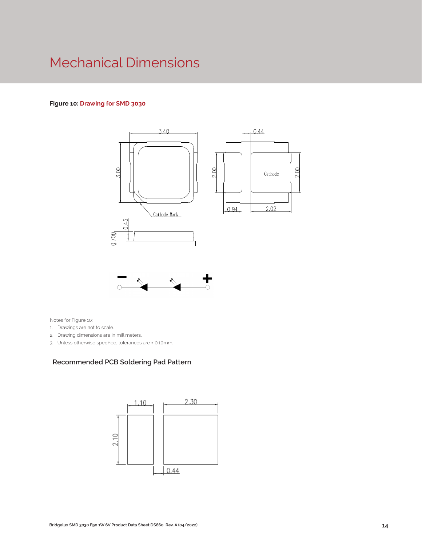### Mechanical Dimensions

#### **Figure 10: Drawing for SMD 3030**





Notes for Figure 10:

- 1. Drawings are not to scale.
- 2. Drawing dimensions are in millimeters.
- 3. Unless otherwise specified, tolerances are ± 0.10mm.

#### **Recommended PCB Soldering Pad Pattern**

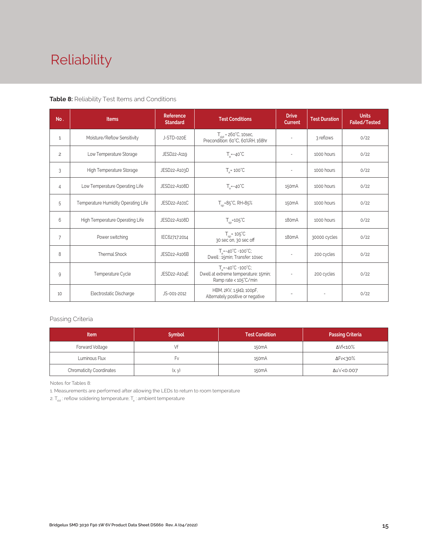# Reliability

#### **Table 8:** Reliability Test Items and Conditions

| No.            | <b>Items</b>                        | Reference<br><b>Standard</b> | Test Conditions                                                                                        | <b>Drive</b><br><b>Current</b> | <b>Test Duration</b> | <b>Units</b><br><b>Failed/Tested</b> |
|----------------|-------------------------------------|------------------------------|--------------------------------------------------------------------------------------------------------|--------------------------------|----------------------|--------------------------------------|
| $\mathbf{1}$   | Moisture/Reflow Sensitivity         | J-STD-020E                   | $Tstd = 260°C$ , 10sec,<br>Precondition: 60°C, 60%RH, 168hr                                            |                                | 3 reflows            | 0/22                                 |
| $\overline{c}$ | Low Temperature Storage             | JESD22-A119                  | $T_a = -40^{\circ}C$                                                                                   | $\overline{\phantom{a}}$       | 1000 hours           | 0/22                                 |
| 3              | High Temperature Storage            | JESD22-A103D                 | $T_a = 100^{\circ}$ C                                                                                  |                                | 1000 hours           | 0/22                                 |
| 4              | Low Temperature Operating Life      | JESD22-A108D                 | $T_s = -40^{\circ}C$                                                                                   | 150 <sub>m</sub> A             | 1000 hours           | 0/22                                 |
| 5              | Temperature Humidity Operating Life | JESD22-A101C                 | $T_{\rm sn}$ =85°C, RH=85%                                                                             | 150 <sub>m</sub> A             | 1000 hours           | 0/22                                 |
| 6              | High Temperature Operating Life     | JESD22-A108D                 | $T_{\rm sn}$ =105°C                                                                                    | 180 <sub>m</sub> A             | 1000 hours           | 0/22                                 |
| $\overline{7}$ | Power switching                     | IEC62717:2014                | $T_{\rm sn}$ = 105°C<br>30 sec on, 30 sec off                                                          | 180 <sub>m</sub> A             | 30000 cycles         | 0/22                                 |
| 8              | Thermal Shock                       | JESD22-A106B                 | $T_a = -40^{\circ}C - 100^{\circ}C$ ;<br>Dwell: 15min; Transfer: 10sec                                 | $\sim$                         | 200 cycles           | 0/22                                 |
| 9              | Temperature Cycle                   | JESD22-A104E                 | $T_a = -40^{\circ}C - 100^{\circ}C$ ;<br>Dwell at extreme temperature: 15min;<br>Ramp rate < 105°C/min |                                | 200 cycles           | 0/22                                 |
| 10             | Electrostatic Discharge             | JS-001-2012                  | HBM, $2KV$ , $1.5k\Omega$ , 100pF,<br>Alternately positive or negative                                 | $\overline{\phantom{a}}$       |                      | 0/22                                 |

#### Passing Criteria

| <b>Item</b>                     | <b>Symbol</b> | <b>Test Condition</b> | <b>Passing Criteria</b> |
|---------------------------------|---------------|-----------------------|-------------------------|
| Forward Voltage                 |               | 150 <sub>m</sub> A    | ΔVf<10%                 |
| Luminous Flux                   | ۲v            | 150 <sub>m</sub> A    | ΔFν<30%                 |
| <b>Chromaticity Coordinates</b> | (x, y)        | 150 <sub>m</sub> A    | Δu'v'<0.007             |

Notes for Tables 8:

1. Measurements are performed after allowing the LEDs to return to room temperature

2.  $T_{\scriptscriptstyle \rm std}$  : reflow soldering temperature;  $T_{\scriptscriptstyle \rm a}$  : ambient temperature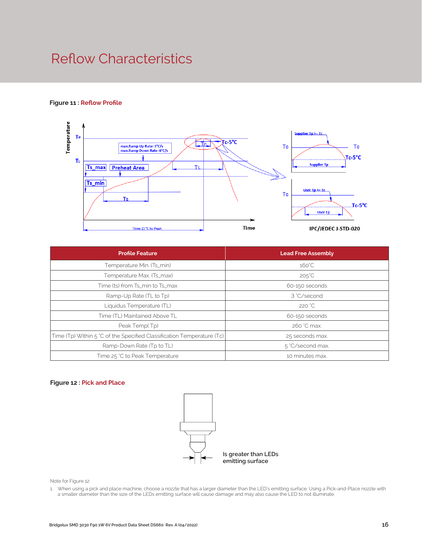### Reflow Characteristics

#### **Figure 11 : Reflow Profile**



| <b>Profile Feature</b>                                                 | <b>Lead Free Assembly</b> |  |  |
|------------------------------------------------------------------------|---------------------------|--|--|
| Temperature Min. (Ts_min)                                              | $160^{\circ}$ C           |  |  |
| Temperature Max. (Ts_max)                                              | $205^{\circ}C$            |  |  |
| Time (ts) from Ts_min to Ts_max                                        | 60-150 seconds            |  |  |
| Ramp-Up Rate (TL to Tp)                                                | 3 °C/second               |  |  |
| Liquidus Temperature (TL)                                              | 220 °C                    |  |  |
| Time (TL) Maintained Above TL                                          | 60-150 seconds            |  |  |
| Peak Temp(Tp)                                                          | 260 °C max.               |  |  |
| Time (Tp) Within 5 °C of the Specified Classification Temperature (Tc) | 25 seconds max.           |  |  |
| Ramp-Down Rate (Tp to TL)                                              | 5 °C/second max.          |  |  |
| Time 25 °C to Peak Temperature                                         | 10 minutes max.           |  |  |

#### **Figure 12 : Pick and Place**



Note for Figure 12:

1. When using a pick and place machine, choose a nozzle that has a larger diameter than the LED's emitting surface. Using a Pick-and-Place nozzle with a smaller diameter than the size of the LEDs emitting surface will cause damage and may also cause the LED to not illuminate.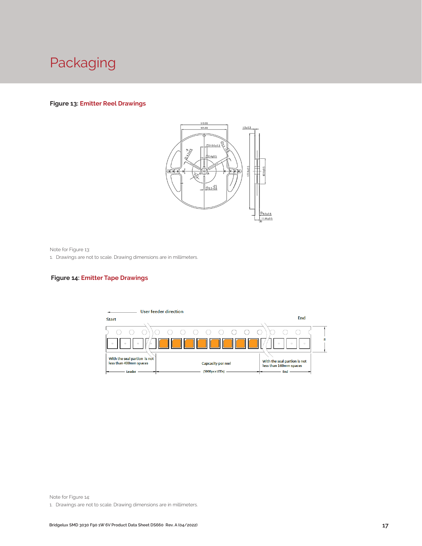

#### **Figure 13: Emitter Reel Drawings**



Note for Figure 13:

1. Drawings are not to scale. Drawing dimensions are in millimeters.

#### **Figure 14: Emitter Tape Drawings**



Note for Figure 14:

1. Drawings are not to scale. Drawing dimensions are in millimeters.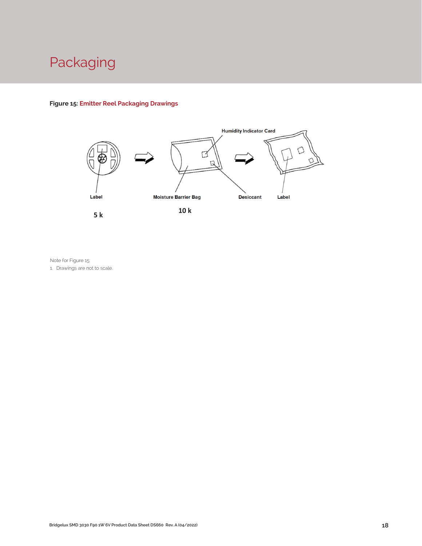### Packaging

#### **Figure 15: Emitter Reel Packaging Drawings**



Note for Figure 15:

1. Drawings are not to scale.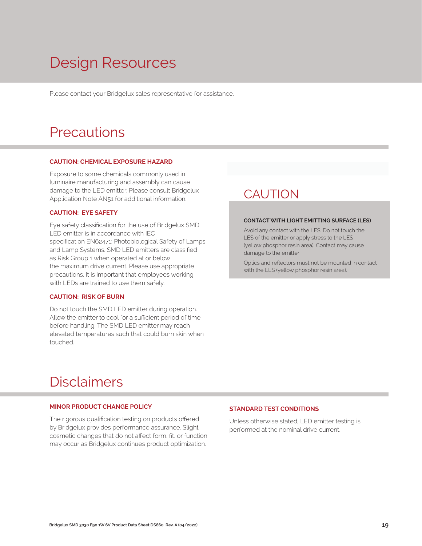### Design Resources

Please contact your Bridgelux sales representative for assistance.

### **Precautions**

#### **CAUTION: CHEMICAL EXPOSURE HAZARD**

Exposure to some chemicals commonly used in luminaire manufacturing and assembly can cause damage to the LED emitter. Please consult Bridgelux Application Note AN51 for additional information.

#### **CAUTION: EYE SAFETY**

Eye safety classification for the use of Bridgelux SMD LED emitter is in accordance with IEC specification EN62471: Photobiological Safety of Lamps and Lamp Systems. SMD LED emitters are classified as Risk Group 1 when operated at or below the maximum drive current. Please use appropriate precautions. It is important that employees working with LEDs are trained to use them safely.

#### **CAUTION: RISK OF BURN**

Do not touch the SMD LED emitter during operation. Allow the emitter to cool for a sufficient period of time before handling. The SMD LED emitter may reach elevated temperatures such that could burn skin when touched.

### **CAUTION**

#### **CONTACT WITH LIGHT EMITTING SURFACE (LES)**

Avoid any contact with the LES. Do not touch the LES of the emitter or apply stress to the LES (yellow phosphor resin area). Contact may cause damage to the emitter

Optics and reflectors must not be mounted in contact with the LES (yellow phosphor resin area).

### Disclaimers

#### **MINOR PRODUCT CHANGE POLICY**

The rigorous qualification testing on products offered by Bridgelux provides performance assurance. Slight cosmetic changes that do not affect form, fit, or function may occur as Bridgelux continues product optimization.

#### **STANDARD TEST CONDITIONS**

Unless otherwise stated, LED emitter testing is performed at the nominal drive current.